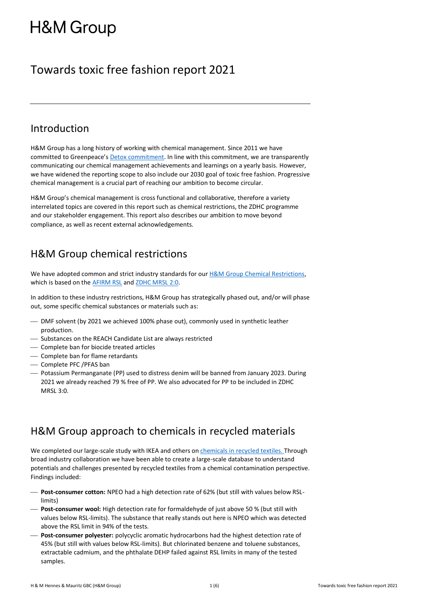# **H&M Group**

# Towards toxic free fashion report 2021

### Introduction

H&M Group has a long history of working with chemical management. Since 2011 we have committed to Greenpeace's **Detox commitment**. In line with this commitment, we are transparently communicating our chemical management achievements and learnings on a yearly basis. However, we have widened the reporting scope to also include our 2030 goal of toxic free fashion. Progressive chemical management is a crucial part of reaching our ambition to become circular.

H&M Group's chemical management is cross functional and collaborative, therefore a variety interrelated topics are covered in this report such as chemical restrictions, the ZDHC programme and our stakeholder engagement. This report also describes our ambition to move beyond compliance, as well as recent external acknowledgements.

### H&M Group chemical restrictions

We have adopted common and strict industry standards for ou[r H&M Group Chemical Restrictions,](https://hmgroup.com/wp-content/uploads/2021/01/HM-CR-TP-Acc-FBB_external.pdf) which is based on the [AFIRM RSL](https://www.afirm-group.com/wp-content/uploads/2021/03/2021_AFIRM_RSL_2021_0226a.pdf) an[d ZDHC MRSL 2:0.](https://mrsl.roadmaptozero.com/MRSL2_0)

In addition to these industry restrictions, H&M Group has strategically phased out, and/or will phase out, some specific chemical substances or materials such as:

- $-$  DMF solvent (by 2021 we achieved 100% phase out), commonly used in synthetic leather production.
- Substances on the REACH Candidate List are always restricted
- ⎯ Complete ban for biocide treated articles
- ⎯ Complete ban for flame retardants
- Complete PFC / PFAS ban
- ⎯ Potassium Permanganate (PP) used to distress denim will be banned from January 2023. During 2021 we already reached 79 % free of PP. We also advocated for PP to be included in ZDHC MRSL 3:0.

# H&M Group approach to chemicals in recycled materials

We completed our large-scale study with IKEA and others on [chemicals in recycled textiles.](https://hmgroup.com/news/large-scale-study-from-hm-group-and-ikea-shows-potential-to-transform-the-way-we-use-recycled-textiles/) Through broad industry collaboration we have been able to create a large-scale database to understand potentials and challenges presented by recycled textiles from a chemical contamination perspective. Findings included:

- ⎯ **Post-consumer cotton:** NPEO had a high detection rate of 62% (but still with values below RSLlimits)
- ⎯ **Post-consumer wool:** High detection rate for formaldehyde of just above 50 % (but still with values below RSL-limits). The substance that really stands out here is NPEO which was detected above the RSL limit in 94% of the tests.
- Post-consumer polyester: polycyclic aromatic hydrocarbons had the highest detection rate of 45% (but still with values below RSL-limits). But chlorinated benzene and toluene substances, extractable cadmium, and the phthalate DEHP failed against RSL limits in many of the tested samples.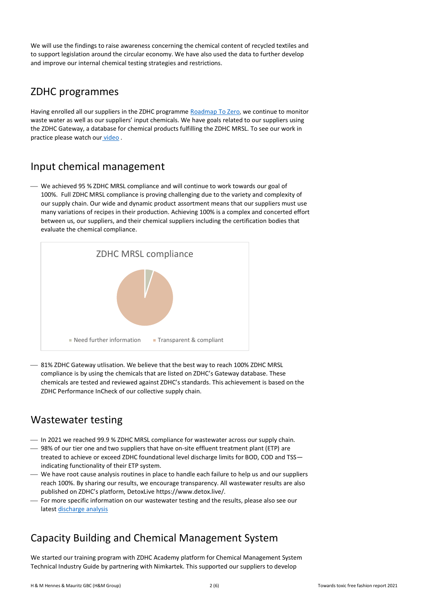We will use the findings to raise awareness concerning the chemical content of recycled textiles and to support legislation around the circular economy. We have also used the data to further develop and improve our internal chemical testing strategies and restrictions.

### ZDHC programmes

Having enrolled all our suppliers in the ZDHC programme [Roadmap To Zero](https://www.roadmaptozero.com/), we continue to monitor waste water as well as our suppliers' input chemicals. We have goals related to our suppliers using the ZDHC Gateway, a database for chemical products fulfilling the ZDHC MRSL. To see our work in practice please watch our [video](https://drive.google.com/file).

### Input chemical management

⎯ We achieved 95 % ZDHC MRSL compliance and will continue to work towards our goal of 100%. Full ZDHC MRSL compliance is proving challenging due to the variety and complexity of our supply chain. Our wide and dynamic product assortment means that our suppliers must use many variations of recipes in their production. Achieving 100% is a complex and concerted effort between us, our suppliers, and their chemical suppliers including the certification bodies that evaluate the chemical compliance.



 $-$  81% ZDHC Gateway utlisation. We believe that the best way to reach 100% ZDHC MRSL compliance is by using the chemicals that are listed on ZDHC's Gateway database. These chemicals are tested and reviewed against ZDHC's standards. This achievement is based on the ZDHC Performance InCheck of our collective supply chain.

### Wastewater testing

- $-$  In 2021 we reached 99.9 % ZDHC MRSL compliance for wastewater across our supply chain.
- ⎯ 98% of our tier one and two suppliers that have on-site effluent treatment plant (ETP) are treated to achieve or exceed ZDHC foundational level discharge limits for BOD, COD and TSS indicating functionality of their ETP system.
- ⎯ We have root cause analysis routines in place to handle each failure to help us and our suppliers reach 100%. By sharing our results, we encourage transparency. All wastewater results are also published on ZDHC's platform, DetoxLive https://www.detox.live/.
- For more specific information on our wastewater testing and the results, please also see our lates[t discharge analysis](https://hmgroup.com/wp-content/uploads/2021/07/Discharge-Analysis-2020.pdf)

# Capacity Building and Chemical Management System

We started our training program with ZDHC Academy platform for Chemical Management System Technical Industry Guide by partnering with Nimkartek. This supported our suppliers to develop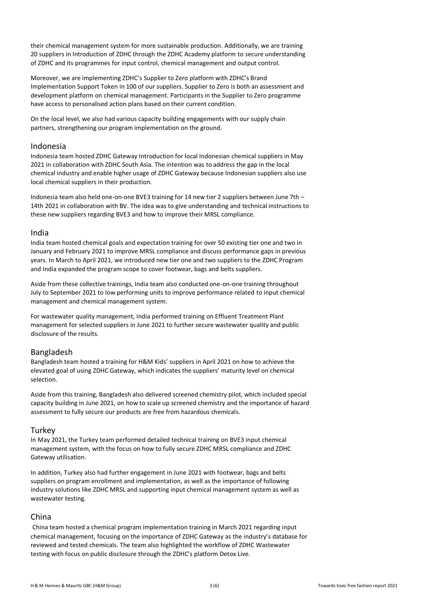their chemical management system for more sustainable production. Additionally, we are training 20 suppliers in Introduction of ZDHC through the ZDHC Academy platform to secure understanding of ZDHC and its programmes for input control, chemical management and output control.

Moreover, we are implementing ZDHC's Supplier to Zero platform with ZDHC's Brand Implementation Support Token in 100 of our suppliers. Supplier to Zero is both an assessment and development platform on chemical management. Participants in the Supplier to Zero programme have access to personalised action plans based on their current condition.

On the local level, we also had various capacity building engagements with our supply chain partners, strengthening our program implementation on the ground.

#### Indonesia

Indonesia team hosted ZDHC Gateway Introduction for local Indonesian chemical suppliers in May 2021 in collaboration with ZDHC South Asia. The intention was to address the gap in the local chemical industry and enable higher usage of ZDHC Gateway because Indonesian suppliers also use local chemical suppliers in their production.

Indonesia team also held one-on-one BVE3 training for 14 new tier 2 suppliers between June 7th – 14th 2021 in collaboration with BV. The idea was to give understanding and technical instructions to these new suppliers regarding BVE3 and how to improve their MRSL compliance.

#### India

India team hosted chemical goals and expectation training for over 50 existing tier one and two in January and February 2021 to improve MRSL compliance and discuss performance gaps in previous years. In March to April 2021, we introduced new tier one and two suppliers to the ZDHC Program and India expanded the program scope to cover footwear, bags and belts suppliers.

Aside from these collective trainings, India team also conducted one-on-one training throughout July to September 2021 to low performing units to improve performance related to input chemical management and chemical management system.

For wastewater quality management, India performed training on Effluent Treatment Plant management for selected suppliers in June 2021 to further secure wastewater quality and public disclosure of the results.

#### Bangladesh

Bangladesh team hosted a training for H&M Kids' suppliers in April 2021 on how to achieve the elevated goal of using ZDHC Gateway, which indicates the suppliers' maturity level on chemical selection.

Aside from this training, Bangladesh also delivered screened chemistry pilot, which included special capacity building in June 2021, on how to scale up screened chemistry and the importance of hazard assessment to fully secure our products are free from hazardous chemicals.

#### **Turkey**

In May 2021, the Turkey team performed detailed technical training on BVE3 input chemical management system, with the focus on how to fully secure ZDHC MRSL compliance and ZDHC Gateway utilisation.

In addition, Turkey also had further engagement in June 2021 with footwear, bags and belts suppliers on program enrollment and implementation, as well as the importance of following industry solutions like ZDHC MRSL and supporting input chemical management system as well as wastewater testing.

#### China

China team hosted a chemical program implementation training in March 2021 regarding input chemical management, focusing on the importance of ZDHC Gateway as the industry's database for reviewed and tested chemicals. The team also highlighted the workflow of ZDHC Wastewater testing with focus on public disclosure through the ZDHC's platform Detox Live.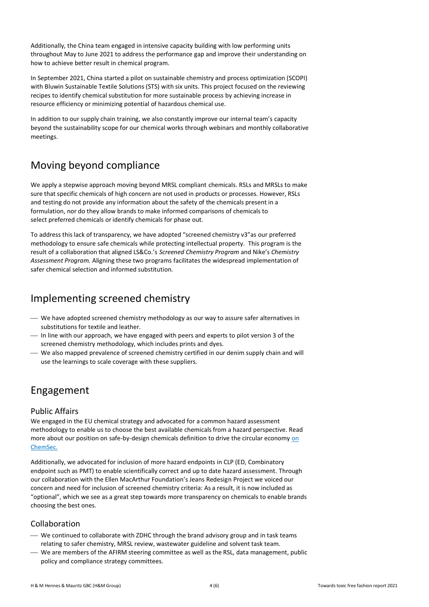Additionally, the China team engaged in intensive capacity building with low performing units throughout May to June 2021 to address the performance gap and improve their understanding on how to achieve better result in chemical program.

In September 2021, China started a pilot on sustainable chemistry and process optimization (SCOPI) with Bluwin Sustainable Textile Solutions (STS) with six units. This project focused on the reviewing recipes to identify chemical substitution for more sustainable process by achieving increase in resource efficiency or minimizing potential of hazardous chemical use.

In addition to our supply chain training, we also constantly improve our internal team's capacity beyond the sustainability scope for our chemical works through webinars and monthly collaborative meetings.

### Moving beyond compliance

We apply a stepwise approach moving beyond MRSL compliant chemicals. RSLs and MRSLs to make sure that specific chemicals of high concern are not used in products or processes. However, RSLs and testing do not provide any information about the safety of the chemicals present in a formulation, nor do they allow brands to make informed comparisons of chemicals to select preferred chemicals or identify chemicals for phase out.

To address thislack of transparency, we have adopted "screened chemistry v3"as our preferred methodology to ensure safe chemicals while protecting intellectual property. This program is the result of a collaboration that aligned LS&Co.'s *Screened Chemistry Program* and Nike's *Chemistry Assessment Program.* Aligning these two programs facilitates the widespread implementation of safer chemical selection and informed substitution.

### Implementing screened chemistry

- ⎯ We have adopted screened chemistry methodology as our way to assure safer alternatives in substitutions for textile and leather.
- $-$  In line with our approach, we have engaged with peers and experts to pilot version 3 of the screened chemistry methodology, which includes prints and dyes.
- ⎯ We also mapped prevalence of screened chemistry certified in our denim supply chain and will use the learnings to scale coverage with these suppliers.

### Engagement

#### Public Affairs

We engaged in the EU chemical strategy and advocated for a common hazard assessment methodology to enable us to choose the best available chemicals from a hazard perspective. Read more about our position on safe-by-design chemicals definition to drive the circular econom[y on](https://chemsec.org/hm-groups-position-on-safe-by-design-chemicals-definition-to-drive-circular-economy/)  [ChemSec](https://chemsec.org/hm-groups-position-on-safe-by-design-chemicals-definition-to-drive-circular-economy/)*.*

Additionally, we advocated for inclusion of more hazard endpoints in CLP (ED, Combinatory endpoint such as PMT) to enable scientifically correct and up to date hazard assessment. Through our collaboration with the Ellen MacArthur Foundation's Jeans Redesign Project we voiced our concern and need for inclusion of screened chemistry criteria: As a result, it is now included as "optional", which we see as a great step towards more transparency on chemicals to enable brands choosing the best ones.

### Collaboration

- We continued to collaborate with ZDHC through the brand advisory group and in task teams relating to safer chemistry, MRSL review, wastewater guideline and solvent task team.
- ⎯ We are members of the AFIRM steering committee as well as the RSL, data management, public policy and compliance strategy committees.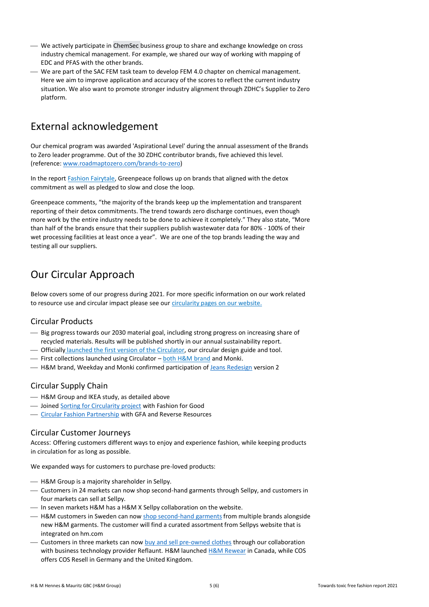- ⎯ We actively participate in [ChemSec](https://chemsec.org/business-and-investors/chemsec-business-group/) business group to share and exchange knowledge on cross industry chemical management. For example, we shared our way of working with mapping of EDC and PFAS with the other brands.
- ⎯ We are part of the SAC FEM task team to develop FEM 4.0 chapter on chemical management. Here we aim to improve application and accuracy of the scores to reflect the current industry situation. We also want to promote stronger industry alignment through ZDHC's Supplier to Zero platform.

# External acknowledgement

Our chemical program was awarded 'Aspirational Level' during the annual assessment of the Brands to Zero leader programme. Out of the 30 ZDHC contributor brands, five achieved this level. (reference: [www.roadmaptozero.com/brands-to-zero\)](https://eur03.safelinks.protection.outlook.com/?url=http%3A%2F%2Fwww.roadmaptozero.com%2Fbrands-to-zero&data=04%7C01%7CYlva.Weissbach%40hm.com%7C944b8973dbea4940347b08d9ed710c5b%7C30f5234446634c2ebab361bf24ebbed8%7C0%7C0%7C637801892069916770%7CUnknown%7CTWFpbGZsb3d8eyJWIjoiMC4wLjAwMDAiLCJQIjoiV2luMzIiLCJBTiI6Ik1haWwiLCJXVCI6Mn0%3D%7C3000&sdata=HUaMObEHz4KOEdvjQ2oWp7XbrLfb%2Fd87yeUa1C%2BzWoE%3D&reserved=0)

In the report [Fashion Fairytale,](https://www.greenpeace.de/publikationen/20211122-greenpeace-detox-fashion-fairytale-engl-pt2_0.pdf) Greenpeace follows up on brands that aligned with the detox commitment as well as pledged to slow and close the loop.

Greenpeace comments, "the majority of the brands keep up the implementation and transparent reporting of their detox commitments. The trend towards zero discharge continues, even though more work by the entire industry needs to be done to achieve it completely." They also state, "More than half of the brands ensure that their suppliers publish wastewater data for 80% - 100% of their wet processing facilities at least once a year". We are one of the top brands leading the way and testing all our suppliers.

# Our Circular Approach

Below covers some of our progress during 2021. For more specific information on our work related to resource use and circular impact please see our [circularity pages on our website.](https://hmgroup.com/sustainability/circular-and-climate-positive/circularity/)

### Circular Products

- ⎯ Big progress towards our 2030 material goal, including strong progress on increasing share of recycled materials. Results will be published shortly in our annual sustainability report.
- Officially [launched the first version of the Circulator,](https://hmgroup.com/news/hm-group-launches-circular-design-tool-circulator/) our circular design guide and tool.
- First collections launched using Circulator bot[h H&M brand](https://www2.hm.com/en_ie/free-form-campaigns/2094-circular-design-story-w.html) and [Monki.](https://www.monki.com/we-are-monki/planet-power/about-planet-power/projects/wearloverecycle/)
- $-$  H&M brand, Weekday and Monki confirmed participation of [Jeans Redesign](https://ellenmacarthurfoundation.org/news/industry-leaders-continue-the-jeans-redesign-journey) version 2

### Circular Supply Chain

- H&M Group and IKEA study, as detailed above
- **-** Joined [Sorting for Circularity project](https://fashionforgood.com/our_news/sorting-for-circularity-fashion-for-good-launches-new-project-to-drive-textile-recycling/) with Fashion for Good
- ⎯ [Circular Fashion Partnership](https://www.globalfashionagenda.com/explaining-the-circular-fashion-partnership/) with GFA and Reverse Resources

#### Circular Customer Journeys

Access: Offering customers different ways to enjoy and experience fashion, while keeping products in circulation for as long as possible.

We expanded ways for customers to purchase pre-loved products:

- $-$  H&M Group is a majority shareholder in Sellpy.
- ⎯ Customers in 24 markets can now shop second-hand garments through Sellpy, and customers in four markets can sell at Sellpy.
- $-$  In seven markets H&M has a H&M X Sellpy collaboration on the website.
- $-$  H&M customers in Sweden can no[w shop second-hand garments](https://www2.hm.com/sv_se/dam/resell/pre-loved.html) from multiple brands alongside new H&M garments. The customer will find a curated assortment from Sellpys website that is integrated on hm.com
- $-$  Customers in three markets can now [buy and sell pre-owned clothes](https://www.cosresell.com/) through our collaboration with business technology provider Reflaunt. H&M launche[d H&M Rewear](https://rewear.hm.com/) in Canada, while COS offers COS Resell in Germany and the United Kingdom.